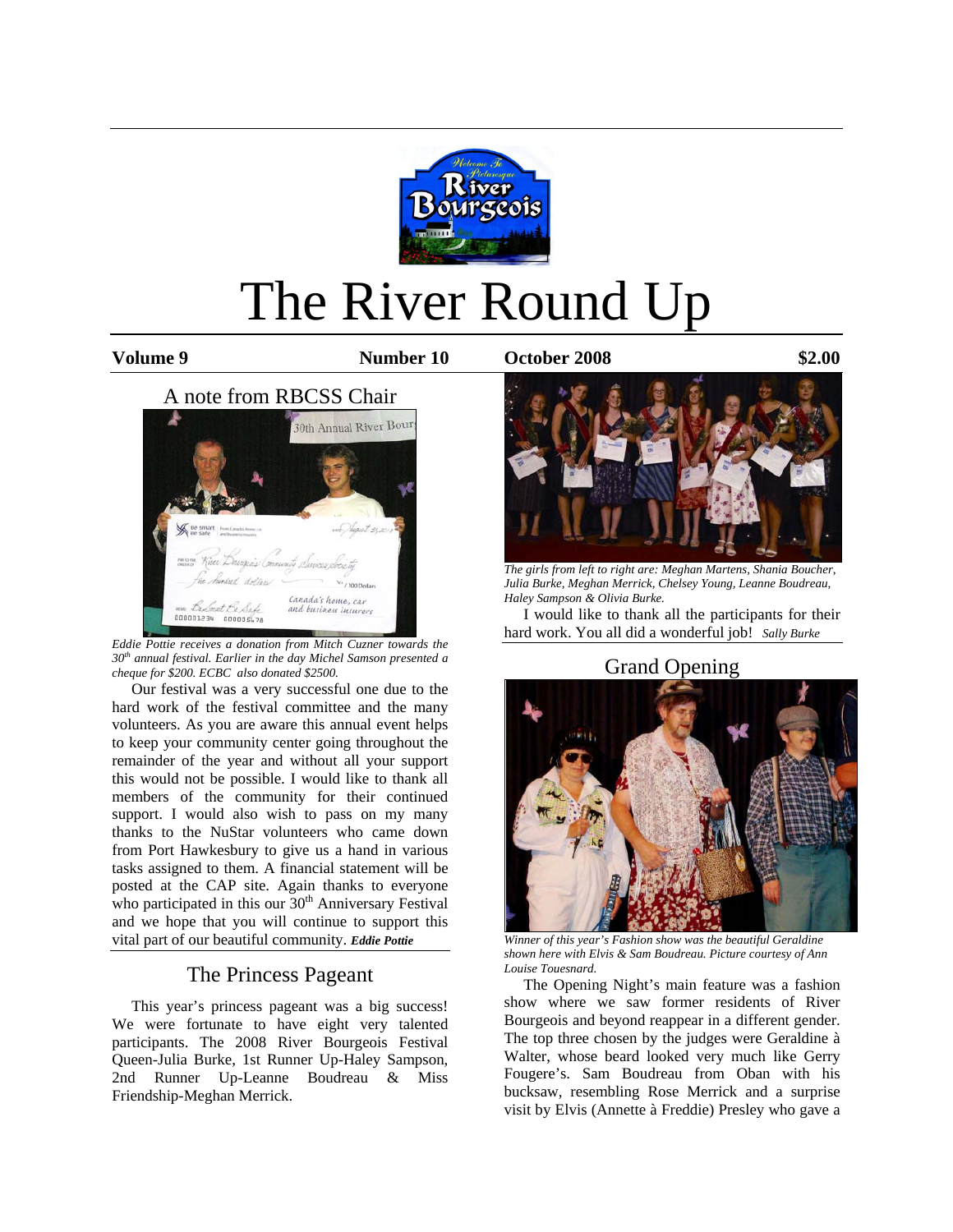

# The River Round Up

**Volume 9 Number 10 October 2008 \$2.00**



*Eddie Pottie receives a donation from Mitch Cuzner towards the 30th annual festival. Earlier in the day Michel Samson presented a cheque for \$200. ECBC also donated \$2500.* 

 Our festival was a very successful one due to the hard work of the festival committee and the many volunteers. As you are aware this annual event helps to keep your community center going throughout the remainder of the year and without all your support this would not be possible. I would like to thank all members of the community for their continued support. I would also wish to pass on my many thanks to the NuStar volunteers who came down from Port Hawkesbury to give us a hand in various tasks assigned to them. A financial statement will be posted at the CAP site. Again thanks to everyone who participated in this our 30<sup>th</sup> Anniversary Festival and we hope that you will continue to support this vital part of our beautiful community. *Eddie Pottie*

## The Princess Pageant

 This year's princess pageant was a big success! We were fortunate to have eight very talented participants. The 2008 River Bourgeois Festival Queen-Julia Burke, 1st Runner Up-Haley Sampson, 2nd Runner Up-Leanne Boudreau & Miss Friendship-Meghan Merrick.



*The girls from left to right are: Meghan Martens, Shania Boucher, Julia Burke, Meghan Merrick, Chelsey Young, Leanne Boudreau, Haley Sampson & Olivia Burke.* 

 I would like to thank all the participants for their hard work. You all did a wonderful job! *Sally Burke*

Grand Opening



*Winner of this year's Fashion show was the beautiful Geraldine shown here with Elvis & Sam Boudreau. Picture courtesy of Ann Louise Touesnard.* 

 The Opening Night's main feature was a fashion show where we saw former residents of River Bourgeois and beyond reappear in a different gender. The top three chosen by the judges were Geraldine à Walter, whose beard looked very much like Gerry Fougere's. Sam Boudreau from Oban with his bucksaw, resembling Rose Merrick and a surprise visit by Elvis (Annette à Freddie) Presley who gave a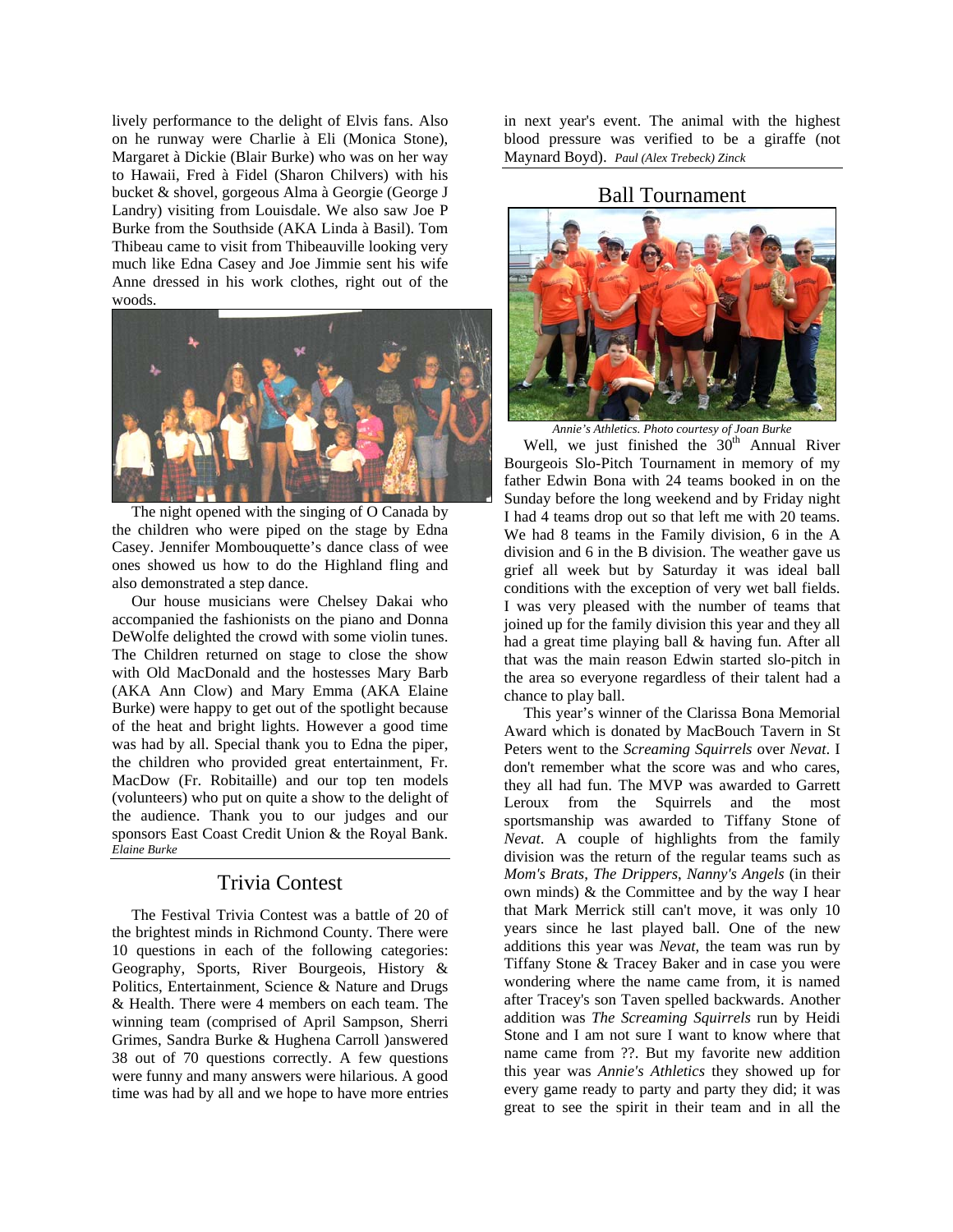lively performance to the delight of Elvis fans. Also on he runway were Charlie à Eli (Monica Stone), Margaret à Dickie (Blair Burke) who was on her way to Hawaii, Fred à Fidel (Sharon Chilvers) with his bucket & shovel, gorgeous Alma à Georgie (George J Landry) visiting from Louisdale. We also saw Joe P Burke from the Southside (AKA Linda à Basil). Tom Thibeau came to visit from Thibeauville looking very much like Edna Casey and Joe Jimmie sent his wife Anne dressed in his work clothes, right out of the woods.



 The night opened with the singing of O Canada by the children who were piped on the stage by Edna Casey. Jennifer Mombouquette's dance class of wee ones showed us how to do the Highland fling and also demonstrated a step dance.

 Our house musicians were Chelsey Dakai who accompanied the fashionists on the piano and Donna DeWolfe delighted the crowd with some violin tunes. The Children returned on stage to close the show with Old MacDonald and the hostesses Mary Barb (AKA Ann Clow) and Mary Emma (AKA Elaine Burke) were happy to get out of the spotlight because of the heat and bright lights. However a good time was had by all. Special thank you to Edna the piper, the children who provided great entertainment, Fr. MacDow (Fr. Robitaille) and our top ten models (volunteers) who put on quite a show to the delight of the audience. Thank you to our judges and our sponsors East Coast Credit Union & the Royal Bank. *Elaine Burke*

## Trivia Contest

 The Festival Trivia Contest was a battle of 20 of the brightest minds in Richmond County. There were 10 questions in each of the following categories: Geography, Sports, River Bourgeois, History & Politics, Entertainment, Science & Nature and Drugs & Health. There were 4 members on each team. The winning team (comprised of April Sampson, Sherri Grimes, Sandra Burke & Hughena Carroll )answered 38 out of 70 questions correctly. A few questions were funny and many answers were hilarious. A good time was had by all and we hope to have more entries in next year's event. The animal with the highest blood pressure was verified to be a giraffe (not Maynard Boyd). *Paul (Alex Trebeck) Zinck*

## Ball Tournament



*Annie's Athletics. Photo courtesy of Joan Burke* 

Well, we just finished the  $30<sup>th</sup>$  Annual River Bourgeois Slo-Pitch Tournament in memory of my father Edwin Bona with 24 teams booked in on the Sunday before the long weekend and by Friday night I had 4 teams drop out so that left me with 20 teams. We had 8 teams in the Family division, 6 in the A division and 6 in the B division. The weather gave us grief all week but by Saturday it was ideal ball conditions with the exception of very wet ball fields. I was very pleased with the number of teams that joined up for the family division this year and they all had a great time playing ball & having fun. After all that was the main reason Edwin started slo-pitch in the area so everyone regardless of their talent had a chance to play ball.

 This year's winner of the Clarissa Bona Memorial Award which is donated by MacBouch Tavern in St Peters went to the *Screaming Squirrels* over *Nevat*. I don't remember what the score was and who cares, they all had fun. The MVP was awarded to Garrett Leroux from the Squirrels and the most sportsmanship was awarded to Tiffany Stone of *Nevat*. A couple of highlights from the family division was the return of the regular teams such as *Mom's Brats*, *The Drippers*, *Nanny's Angels* (in their own minds) & the Committee and by the way I hear that Mark Merrick still can't move, it was only 10 years since he last played ball. One of the new additions this year was *Nevat*, the team was run by Tiffany Stone & Tracey Baker and in case you were wondering where the name came from, it is named after Tracey's son Taven spelled backwards. Another addition was *The Screaming Squirrels* run by Heidi Stone and I am not sure I want to know where that name came from ??. But my favorite new addition this year was *Annie's Athletics* they showed up for every game ready to party and party they did; it was great to see the spirit in their team and in all the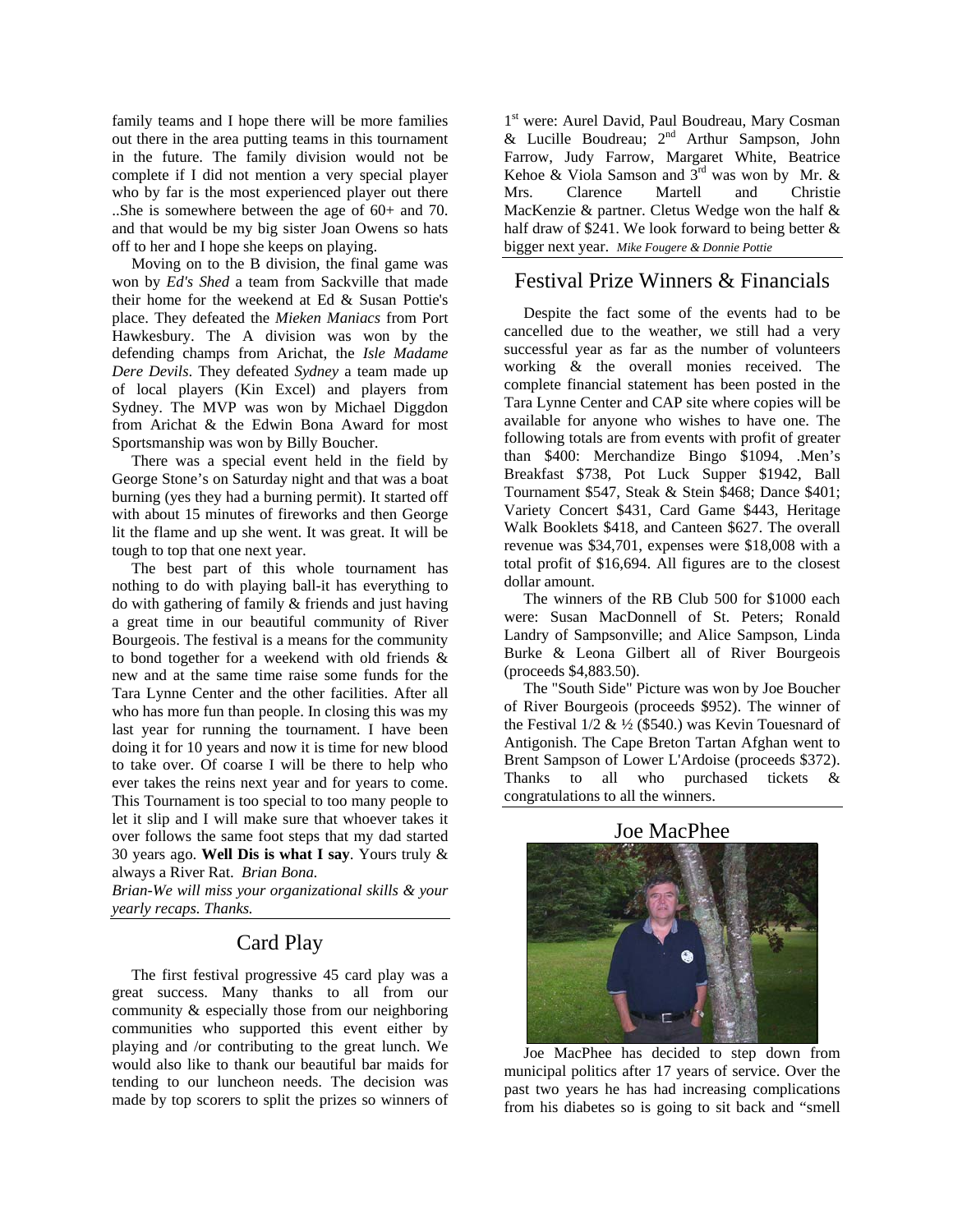family teams and I hope there will be more families out there in the area putting teams in this tournament in the future. The family division would not be complete if I did not mention a very special player who by far is the most experienced player out there ..She is somewhere between the age of 60+ and 70. and that would be my big sister Joan Owens so hats off to her and I hope she keeps on playing.

 Moving on to the B division, the final game was won by *Ed's Shed* a team from Sackville that made their home for the weekend at Ed & Susan Pottie's place. They defeated the *Mieken Maniacs* from Port Hawkesbury. The A division was won by the defending champs from Arichat, the *Isle Madame Dere Devils*. They defeated *Sydney* a team made up of local players (Kin Excel) and players from Sydney. The MVP was won by Michael Diggdon from Arichat & the Edwin Bona Award for most Sportsmanship was won by Billy Boucher.

 There was a special event held in the field by George Stone's on Saturday night and that was a boat burning (yes they had a burning permit). It started off with about 15 minutes of fireworks and then George lit the flame and up she went. It was great. It will be tough to top that one next year.

 The best part of this whole tournament has nothing to do with playing ball-it has everything to do with gathering of family & friends and just having a great time in our beautiful community of River Bourgeois. The festival is a means for the community to bond together for a weekend with old friends & new and at the same time raise some funds for the Tara Lynne Center and the other facilities. After all who has more fun than people. In closing this was my last year for running the tournament. I have been doing it for 10 years and now it is time for new blood to take over. Of coarse I will be there to help who ever takes the reins next year and for years to come. This Tournament is too special to too many people to let it slip and I will make sure that whoever takes it over follows the same foot steps that my dad started 30 years ago. **Well Dis is what I say**. Yours truly & always a River Rat. *Brian Bona.* 

*Brian-We will miss your organizational skills & your yearly recaps. Thanks.*

### Card Play

 The first festival progressive 45 card play was a great success. Many thanks to all from our community & especially those from our neighboring communities who supported this event either by playing and /or contributing to the great lunch. We would also like to thank our beautiful bar maids for tending to our luncheon needs. The decision was made by top scorers to split the prizes so winners of

1<sup>st</sup> were: Aurel David, Paul Boudreau, Mary Cosman & Lucille Boudreau; 2<sup>nd</sup> Arthur Sampson, John Farrow, Judy Farrow, Margaret White, Beatrice Kehoe  $\&$  Viola Samson and  $3^{rd}$  was won by Mr.  $\&$ Mrs. Clarence Martell and Christie MacKenzie & partner. Cletus Wedge won the half & half draw of \$241. We look forward to being better & bigger next year. *Mike Fougere & Donnie Pottie* 

## Festival Prize Winners & Financials

 Despite the fact some of the events had to be cancelled due to the weather, we still had a very successful year as far as the number of volunteers working & the overall monies received. The complete financial statement has been posted in the Tara Lynne Center and CAP site where copies will be available for anyone who wishes to have one. The following totals are from events with profit of greater than \$400: Merchandize Bingo \$1094, .Men's Breakfast \$738, Pot Luck Supper \$1942, Ball Tournament \$547, Steak & Stein \$468; Dance \$401; Variety Concert \$431, Card Game \$443, Heritage Walk Booklets \$418, and Canteen \$627. The overall revenue was \$34,701, expenses were \$18,008 with a total profit of \$16,694. All figures are to the closest dollar amount.

 The winners of the RB Club 500 for \$1000 each were: Susan MacDonnell of St. Peters; Ronald Landry of Sampsonville; and Alice Sampson, Linda Burke & Leona Gilbert all of River Bourgeois (proceeds \$4,883.50).

 The "South Side" Picture was won by Joe Boucher of River Bourgeois (proceeds \$952). The winner of the Festival  $1/2 \& ½$  (\$540.) was Kevin Touesnard of Antigonish. The Cape Breton Tartan Afghan went to Brent Sampson of Lower L'Ardoise (proceeds \$372). Thanks to all who purchased tickets & congratulations to all the winners.

#### Joe MacPhee



 Joe MacPhee has decided to step down from municipal politics after 17 years of service. Over the past two years he has had increasing complications from his diabetes so is going to sit back and "smell